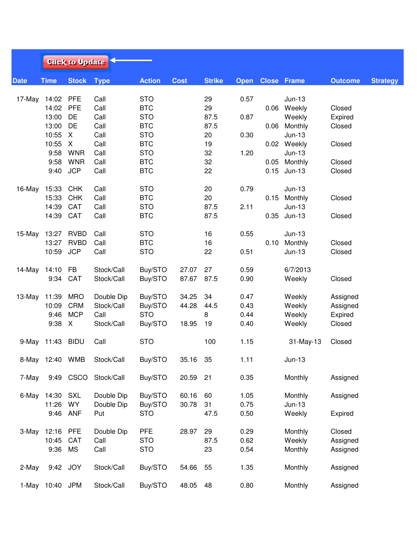|             |                 | <b>Click to Update</b> |             |               |             |               |      |                         |              |                |                 |  |
|-------------|-----------------|------------------------|-------------|---------------|-------------|---------------|------|-------------------------|--------------|----------------|-----------------|--|
| <b>Date</b> | <b>Time</b>     | <b>Stock</b>           | <b>Type</b> | <b>Action</b> | <b>Cost</b> | <b>Strike</b> |      | <b>Open Close Frame</b> |              | <b>Outcome</b> | <b>Strategy</b> |  |
| 17-May      | 14:02 PFE       |                        | Call        | <b>STO</b>    |             | 29            | 0.57 |                         | $Jun-13$     |                |                 |  |
|             | 14:02           | <b>PFE</b>             | Call        | <b>BTC</b>    |             | 29            |      | 0.06                    | Weekly       | Closed         |                 |  |
|             | 13:00           | DE                     | Call        | <b>STO</b>    |             | 87.5          | 0.87 |                         | Weekly       | Expired        |                 |  |
|             | 13:00           | DE                     | Call        | <b>BTC</b>    |             | 87.5          |      |                         | 0.06 Monthly | Closed         |                 |  |
|             | 10:55           | X                      | Call        | <b>STO</b>    |             | 20            | 0.30 |                         | $Jun-13$     |                |                 |  |
|             | 10:55           | X                      | Call        | <b>BTC</b>    |             | 19            |      |                         | 0.02 Weekly  | Closed         |                 |  |
|             | 9:58            | <b>WNR</b>             | Call        | <b>STO</b>    |             | 32            | 1.20 |                         | $Jun-13$     |                |                 |  |
|             | 9:58            | <b>WNR</b>             | Call        | <b>BTC</b>    |             | 32            |      |                         | 0.05 Monthly | Closed         |                 |  |
|             |                 |                        |             |               |             |               |      |                         |              |                |                 |  |
|             | 9:40            | <b>JCP</b>             | Call        | <b>BTC</b>    |             | 22            |      | 0.15                    | $Jun-13$     | Closed         |                 |  |
| 16-May      | 15:33           | <b>CHK</b>             | Call        | <b>STO</b>    |             | 20            | 0.79 |                         | $Jun-13$     |                |                 |  |
|             | 15:33           | <b>CHK</b>             | Call        | <b>BTC</b>    |             | 20            |      | 0.15                    | Monthly      | Closed         |                 |  |
|             | 14:39           | CAT                    | Call        | <b>STO</b>    |             | 87.5          | 2.11 |                         | $Jun-13$     |                |                 |  |
|             | 14:39           | CAT                    | Call        | <b>BTC</b>    |             | 87.5          |      |                         | 0.35 Jun-13  | Closed         |                 |  |
| 15-May      | 13:27           | <b>RVBD</b>            | Call        | <b>STO</b>    |             | 16            | 0.55 |                         | $Jun-13$     |                |                 |  |
|             | 13:27           | <b>RVBD</b>            | Call        | <b>BTC</b>    |             | 16            |      | 0.10                    | Monthly      | Closed         |                 |  |
|             | 10:59           | <b>JCP</b>             | Call        | <b>STO</b>    |             | 22            | 0.51 |                         | $Jun-13$     | Closed         |                 |  |
| 14-May      | 14:10           | <b>FB</b>              | Stock/Call  | Buy/STO       | 27.07       | 27            | 0.59 |                         | 6/7/2013     |                |                 |  |
|             | 9:34            | CAT                    | Stock/Call  | Buy/STO       | 87.67       | 87.5          | 0.90 |                         | Weekly       | Closed         |                 |  |
| 13-May      | 11:39           | <b>MRO</b>             | Double Dip  | Buy/STO       | 34.25       | 34            | 0.47 |                         | Weekly       | Assigned       |                 |  |
|             | 10:09           | <b>CRM</b>             | Stock/Call  | Buy/STO       | 44.28       | 44.5          | 0.43 |                         | Weekly       | Assigned       |                 |  |
|             | 9:46            | <b>MCP</b>             | Call        | <b>STO</b>    |             | 8             | 0.44 |                         | Weekly       | Expired        |                 |  |
|             | 9:38            | X                      | Stock/Call  | Buy/STO       | 18.95       | 19            | 0.40 |                         | Weekly       | Closed         |                 |  |
|             |                 |                        |             |               |             |               |      |                         |              |                |                 |  |
|             | 9-May 11:43     | <b>BIDU</b>            | Call        | <b>STO</b>    |             | 100           | 1.15 |                         | $31$ -May-13 | Closed         |                 |  |
|             | 8-May 12:40 WMB |                        | Stock/Call  | Buy/STO       | 35.16       | 35            | 1.11 |                         | $Jun-13$     |                |                 |  |
| 7-May       | 9:49            | <b>CSCO</b>            | Stock/Call  | Buy/STO       | 20.59       | 21            | 0.35 |                         | Monthly      | Assigned       |                 |  |
|             | 6-May 14:30     | <b>SXL</b>             | Double Dip  | Buy/STO       | 60.16       | 60            | 1.05 |                         | Monthly      | Assigned       |                 |  |
|             | 11:26           | <b>WY</b>              | Double Dip  | Buy/STO       | 30.78       | 31            | 0.75 |                         | $Jun-13$     |                |                 |  |
|             | 9:46            | ANF                    | Put         | <b>STO</b>    |             | 47.5          | 0.50 |                         | Weekly       | Expired        |                 |  |
| 3-May       | 12:16           | <b>PFE</b>             | Double Dip  | <b>PFE</b>    | 28.97       | 29            | 0.29 |                         | Monthly      | Closed         |                 |  |
|             | 10:45           | CAT                    | Call        | <b>STO</b>    |             | 87.5          | 0.62 |                         | Weekly       | Assigned       |                 |  |
|             | 9:36            | MS                     | Call        | <b>STO</b>    |             | 23            | 0.54 |                         | Monthly      | Assigned       |                 |  |
| 2-May       |                 | 9:42 JOY               | Stock/Call  | Buy/STO       | 54.66       | 55            | 1.35 |                         | Monthly      | Assigned       |                 |  |
|             | 1-May 10:40 JPM |                        | Stock/Call  | Buy/STO       | 48.05       | 48            | 0.80 |                         | Monthly      | Assigned       |                 |  |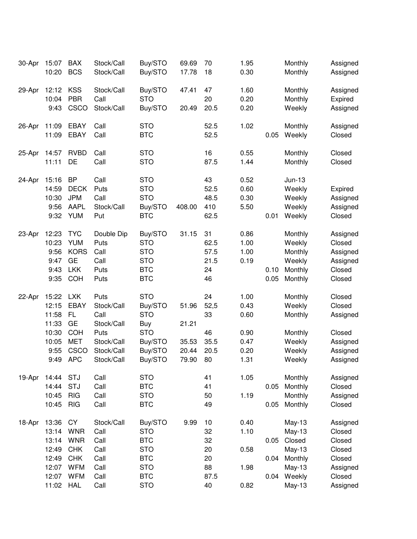| 30-Apr | 15:07<br>10:20                                                       | <b>BAX</b><br><b>BCS</b>                                                                                    | Stock/Call<br>Stock/Call                                                                   | Buy/STO<br>Buy/STO                                                                                        | 69.69<br>17.78                            | 70<br>18                                       | 1.95<br>0.30                                         |                      | Monthly<br>Monthly                                                                      | Assigned<br>Assigned                                                               |
|--------|----------------------------------------------------------------------|-------------------------------------------------------------------------------------------------------------|--------------------------------------------------------------------------------------------|-----------------------------------------------------------------------------------------------------------|-------------------------------------------|------------------------------------------------|------------------------------------------------------|----------------------|-----------------------------------------------------------------------------------------|------------------------------------------------------------------------------------|
| 29-Apr | 12:12<br>10:04<br>9:43                                               | <b>KSS</b><br><b>PBR</b><br>CSCO                                                                            | Stock/Call<br>Call<br>Stock/Call                                                           | Buy/STO<br><b>STO</b><br>Buy/STO                                                                          | 47.41<br>20.49                            | 47<br>20<br>20.5                               | 1.60<br>0.20<br>0.20                                 |                      | Monthly<br>Monthly<br>Weekly                                                            | Assigned<br>Expired<br>Assigned                                                    |
| 26-Apr | 11:09<br>11:09                                                       | <b>EBAY</b><br><b>EBAY</b>                                                                                  | Call<br>Call                                                                               | <b>STO</b><br><b>BTC</b>                                                                                  |                                           | 52.5<br>52.5                                   | 1.02                                                 | 0.05                 | Monthly<br>Weekly                                                                       | Assigned<br>Closed                                                                 |
| 25-Apr | 14:57<br>11:11                                                       | <b>RVBD</b><br>DE                                                                                           | Call<br>Call                                                                               | <b>STO</b><br><b>STO</b>                                                                                  |                                           | 16<br>87.5                                     | 0.55<br>1.44                                         |                      | Monthly<br>Monthly                                                                      | Closed<br>Closed                                                                   |
| 24-Apr | 15:16<br>14:59<br>10:30<br>9:56<br>9:32                              | <b>BP</b><br><b>DECK</b><br><b>JPM</b><br><b>AAPL</b><br><b>YUM</b>                                         | Call<br>Puts<br>Call<br>Stock/Call<br>Put                                                  | <b>STO</b><br><b>STO</b><br><b>STO</b><br>Buy/STO<br><b>BTC</b>                                           | 408.00                                    | 43<br>52.5<br>48.5<br>410<br>62.5              | 0.52<br>0.60<br>0.30<br>5.50                         | 0.01                 | $Jun-13$<br>Weekly<br>Weekly<br>Weekly<br>Weekly                                        | Expired<br>Assigned<br>Assigned<br>Closed                                          |
| 23-Apr | 12:23<br>10:23<br>9:56<br>9:47<br>9:43<br>9:35                       | <b>TYC</b><br><b>YUM</b><br><b>KORS</b><br><b>GE</b><br><b>LKK</b><br><b>COH</b>                            | Double Dip<br>Puts<br>Call<br>Call<br>Puts<br>Puts                                         | Buy/STO<br><b>STO</b><br><b>STO</b><br><b>STO</b><br><b>BTC</b><br><b>BTC</b>                             | 31.15                                     | 31<br>62.5<br>57.5<br>21.5<br>24<br>46         | 0.86<br>1.00<br>1.00<br>0.19                         | 0.10<br>0.05         | Monthly<br>Weekly<br>Monthly<br>Weekly<br>Monthly<br>Monthly                            | Assigned<br>Closed<br>Assigned<br>Assigned<br>Closed<br>Closed                     |
| 22-Apr | 15:22<br>12:15<br>11:58<br>11:33<br>10:30<br>10:05<br>9:55<br>9:49   | <b>LXK</b><br><b>EBAY</b><br><b>FL</b><br><b>GE</b><br><b>COH</b><br><b>MET</b><br>CSCO<br><b>APC</b>       | Puts<br>Stock/Call<br>Call<br>Stock/Call<br>Puts<br>Stock/Call<br>Stock/Call<br>Stock/Call | <b>STO</b><br>Buy/STO<br><b>STO</b><br>Buy<br><b>STO</b><br>Buy/STO<br>Buy/STO<br>Buy/STO                 | 51.96<br>21.21<br>35.53<br>20.44<br>79.90 | 24<br>52,5<br>33<br>46<br>35.5<br>20.5<br>80   | 1.00<br>0.43<br>0.60<br>0.90<br>0.47<br>0.20<br>1.31 |                      | Monthly<br>Weekly<br>Monthly<br>Monthly<br>Weekly<br>Weekly<br>Weekly                   | Closed<br>Closed<br>Assigned<br>Closed<br>Assigned<br>Assigned<br>Assigned         |
| 19-Apr | 14:44<br>14:44<br>10:45<br>10:45                                     | <b>STJ</b><br><b>STJ</b><br><b>RIG</b><br><b>RIG</b>                                                        | Call<br>Call<br>Call<br>Call                                                               | <b>STO</b><br><b>BTC</b><br><b>STO</b><br><b>BTC</b>                                                      |                                           | 41<br>41<br>50<br>49                           | 1.05<br>1.19                                         | 0.05<br>0.05         | Monthly<br>Monthly<br>Monthly<br>Monthly                                                | Assigned<br>Closed<br>Assigned<br>Closed                                           |
| 18-Apr | 13:36<br>13:14<br>13:14<br>12:49<br>12:49<br>12:07<br>12:07<br>11:02 | <b>CY</b><br><b>WNR</b><br><b>WNR</b><br><b>CHK</b><br><b>CHK</b><br><b>WFM</b><br><b>WFM</b><br><b>HAL</b> | Stock/Call<br>Call<br>Call<br>Call<br>Call<br>Call<br>Call<br>Call                         | Buy/STO<br><b>STO</b><br><b>BTC</b><br><b>STO</b><br><b>BTC</b><br><b>STO</b><br><b>BTC</b><br><b>STO</b> | 9.99                                      | 10<br>32<br>32<br>20<br>20<br>88<br>87.5<br>40 | 0.40<br>1.10<br>0.58<br>1.98<br>0.82                 | 0.05<br>0.04<br>0.04 | $May-13$<br>$May-13$<br>Closed<br>$May-13$<br>Monthly<br>$May-13$<br>Weekly<br>$May-13$ | Assigned<br>Closed<br>Closed<br>Closed<br>Closed<br>Assigned<br>Closed<br>Assigned |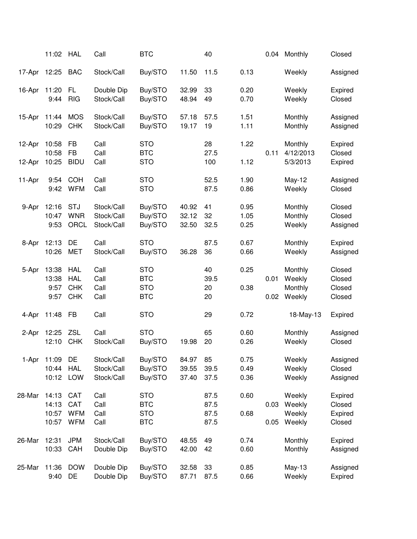|        | 11:02                            | <b>HAL</b>                                           | Call                                   | <b>BTC</b>                                           |                         | 40                           |                      | 0.04         | Monthly                                | Closed                                 |
|--------|----------------------------------|------------------------------------------------------|----------------------------------------|------------------------------------------------------|-------------------------|------------------------------|----------------------|--------------|----------------------------------------|----------------------------------------|
| 17-Apr | 12:25                            | <b>BAC</b>                                           | Stock/Call                             | Buy/STO                                              | 11.50                   | 11.5                         | 0.13                 |              | Weekly                                 | Assigned                               |
| 16-Apr | 11:20<br>9:44                    | FL<br><b>RIG</b>                                     | Double Dip<br>Stock/Call               | Buy/STO<br>Buy/STO                                   | 32.99<br>48.94          | 33<br>49                     | 0.20<br>0.70         |              | Weekly<br>Weekly                       | Expired<br>Closed                      |
| 15-Apr | 11:44<br>10:29                   | <b>MOS</b><br><b>CHK</b>                             | Stock/Call<br>Stock/Call               | Buy/STO<br>Buy/STO                                   | 57.18<br>19.17          | 57.5<br>19                   | 1.51<br>1.11         |              | Monthly<br>Monthly                     | Assigned<br>Assigned                   |
| 12-Apr | 10:58<br>10:58                   | <b>FB</b><br><b>FB</b>                               | Call<br>Call                           | <b>STO</b><br><b>BTC</b>                             |                         | 28<br>27.5                   | 1.22                 | 0.11         | Monthly<br>4/12/2013                   | Expired<br>Closed                      |
| 12-Apr | 10:25                            | <b>BIDU</b>                                          | Call                                   | <b>STO</b>                                           |                         | 100                          | 1.12                 |              | 5/3/2013                               | Expired                                |
| 11-Apr | 9:54<br>9:42                     | <b>COH</b><br><b>WFM</b>                             | Call<br>Call                           | <b>STO</b><br><b>STO</b>                             |                         | 52.5<br>87.5                 | 1.90<br>0.86         |              | May-12<br>Weekly                       | Assigned<br>Closed                     |
| 9-Apr  | 12:16<br>10:47<br>9:53           | <b>STJ</b><br><b>WNR</b><br>ORCL                     | Stock/Call<br>Stock/Call<br>Stock/Call | Buy/STO<br>Buy/STO<br>Buy/STO                        | 40.92<br>32.12<br>32.50 | 41<br>32<br>32.5             | 0.95<br>1.05<br>0.25 |              | Monthly<br>Monthly<br>Weekly           | Closed<br>Closed<br>Assigned           |
| 8-Apr  | 12:13<br>10:26                   | DE<br><b>MET</b>                                     | Call<br>Stock/Call                     | <b>STO</b><br>Buy/STO                                | 36.28                   | 87.5<br>36                   | 0.67<br>0.66         |              | Monthly<br>Weekly                      | Expired<br>Assigned                    |
| 5-Apr  | 13:38<br>13:38<br>9:57<br>9:57   | <b>HAL</b><br><b>HAL</b><br><b>CHK</b><br><b>CHK</b> | Call<br>Call<br>Call<br>Call           | <b>STO</b><br><b>BTC</b><br><b>STO</b><br><b>BTC</b> |                         | 40<br>39.5<br>20<br>20       | 0.25<br>0.38         | 0.01<br>0.02 | Monthly<br>Weekly<br>Monthly<br>Weekly | Closed<br>Closed<br>Closed<br>Closed   |
| 4-Apr  | 11:48                            | <b>FB</b>                                            | Call                                   | <b>STO</b>                                           |                         | 29                           | 0.72                 |              | 18-May-13                              | Expired                                |
| 2-Apr  | 12:25<br>12:10                   | <b>ZSL</b><br><b>CHK</b>                             | Call<br>Stock/Call                     | <b>STO</b><br>Buy/STO                                | 19.98                   | 65<br>20                     | 0.60<br>0.26         |              | Monthly<br>Weekly                      | Assigned<br>Closed                     |
| 1-Apr  | 11:09<br>10:44<br>10:12          | DE<br><b>HAL</b><br>LOW                              | Stock/Call<br>Stock/Call<br>Stock/Call | Buy/STO<br>Buy/STO<br>Buy/STO                        | 84.97<br>39.55<br>37.40 | 85<br>39.5<br>37.5           | 0.75<br>0.49<br>0.36 |              | Weekly<br>Weekly<br>Weekly             | Assigned<br>Closed<br>Assigned         |
| 28-Mar | 14:13<br>14:13<br>10:57<br>10:57 | <b>CAT</b><br><b>CAT</b><br><b>WFM</b><br><b>WFM</b> | Call<br>Call<br>Call<br>Call           | <b>STO</b><br><b>BTC</b><br><b>STO</b><br><b>BTC</b> |                         | 87.5<br>87.5<br>87.5<br>87.5 | 0.60<br>0.68         | 0.03<br>0.05 | Weekly<br>Weekly<br>Weekly<br>Weekly   | Expired<br>Closed<br>Expired<br>Closed |
| 26-Mar | 12:31<br>10:33                   | <b>JPM</b><br>CAH                                    | Stock/Call<br>Double Dip               | Buy/STO<br>Buy/STO                                   | 48.55<br>42.00          | 49<br>42                     | 0.74<br>0.60         |              | Monthly<br>Monthly                     | Expired<br>Assigned                    |
| 25-Mar | 11:36<br>9:40                    | <b>DOW</b><br>DE                                     | Double Dip<br>Double Dip               | Buy/STO<br>Buy/STO                                   | 32.58<br>87.71          | 33<br>87.5                   | 0.85<br>0.66         |              | $May-13$<br>Weekly                     | Assigned<br>Expired                    |